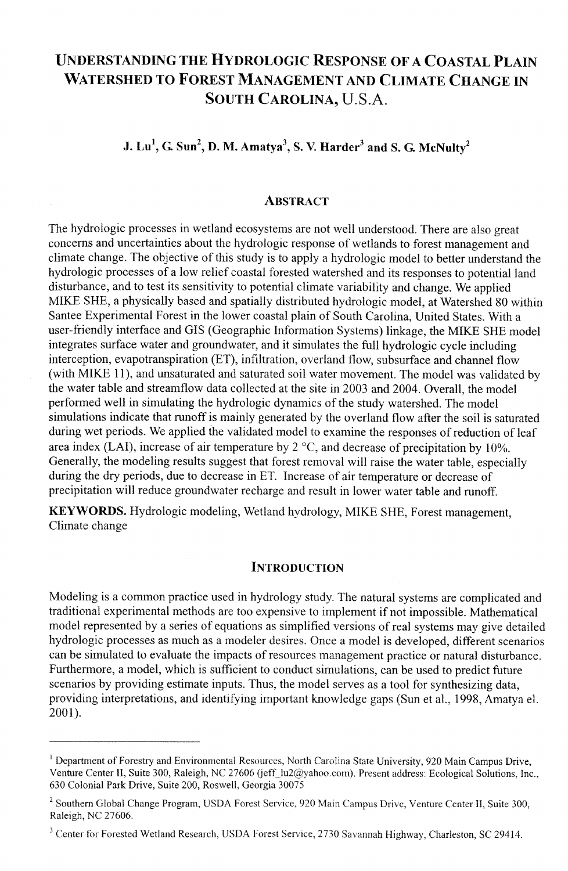# **UNDERSTANDING THE HYDROLOGIC RESPONSE OF A COASTAL PLAIN WATERSHED TO FOREST MANAGEMENT AND CLIMATE CHANGE IN SOUTH CAROLINA, U.S.A.**

 $J. Lu<sup>1</sup>, G. Sun<sup>2</sup>, D. M. Amatya<sup>3</sup>, S. V. Harder<sup>3</sup> and S. G. McNulty<sup>2</sup>$ 

# **ABSTRACT**

The hydrologic processes in wetland ecosystems are not well understood. There are also great concerns and uncertainties about the hydrologic response of wetlands to forest management and climate change. The objective of this study is to apply a hydrologic model to better understand the hydrologic processes of a low relief coastal forested watershed and its responses to potential land disturbance, and to test its sensitivity to potential climate variability and change. We applied MIKE SHE, a physically based and spatially distributed hydrologic model, at Watershed 80 within Santee Experimental Forest in the lower coastal plain of South Carolina, United States. With a user-friendly interface and GIs (Geographic Infonnation Systems) linkage, the MIKE SHE model integrates surface water and groundwater, and it simulates the full hydrologic cycle including interception, evapotranspiration (ET), infiltration, overland flow, subsurface and channel flow (with MIKE 111, and unsaturated and saturated soil water movement. The model was validated by the water table and streamflow data collected at the site in 2003 and 2004. Overall, the model performed well in simulating the hydrologic dynamics of the study watershed. The model simulations indicate that runoff is mainly generated by the overland flow after the soil is saturated during wet periods. We applied the validated model to examine the responses of reduction of leaf area index (LAI), increase of air temperature by  $2^{\circ}$ C, and decrease of precipitation by 10%. Generally, the modeling results suggest that forest removal will raise the water table, especially during the dry periods, due to decrease in ET. Increase of air temperature or decrease of precipitation will reduce groundwater recharge and result in lower water table and runoff.

**KEYWORDS.** Hydrologic modeling, Wetland hydrology, MIKE SHE, Forest management, Climate change

# **INTRODUCTION**

Modeling is a common practice used in hydrology study. The natural systems are complicated and traditional experimental methods are too expensive to implement if not impossible. Mathematical model represented by a series of equations as simplified versions of real systems may give detailed hydrologic processes as much as a modeler desires. Once a model is developed, different scenarios can be simulated to evaluate the impacts of resources management practice or natural disturbance. Furthermore, a model, which is sufficient to conduct simulations, can be used to predict future scenarios by providing estimate inputs. Thus, the model serves as a tool for synthesizing data, providing interpretations, and identifying important knowledge gaps (Sun et al., 1998, Amatya el. 2001).

<sup>&</sup>lt;sup>1</sup> Department of Forestry and Environmental Resources, North Carolina State University, 920 Main Campus Drive, Venture Center II, Suite 300, Raleigh, NC 27606 (jeff\_lu2@yahoo.com). Present address: Ecological Solutions, Inc., 630 Colonial Park Drive, Suite 200, Roswell, Georgia 30075

<sup>&</sup>lt;sup>2</sup> Southern Global Change Program, USDA Forest Service, 920 Main Campus Drive, Venture Center II, Suite 300, Raleigh, NC 27606.

<sup>&</sup>lt;sup>3</sup> Center for Forested Wetland Research, USDA Forest Service, 2730 Savannah Highway, Charleston, SC 29414.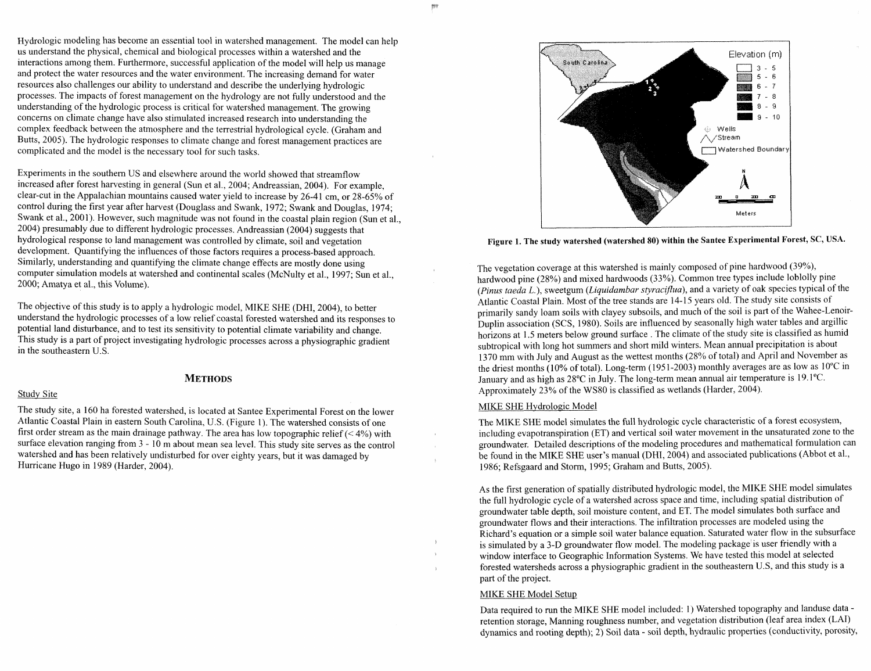Hydrologic modeling has become an essential tool in watershed management. The model can help us understand the physical, chemical and biological processes within a watershed and the interactions among them. Furthermore, successful application of the model will help us manage and protect the water resources and the water environment. The increasing demand for water resources also challenges our ability to understand and describe the underlying hydrologic processes. The impacts of forest management on the hydrology are not hlly understood and the understanding of the hydrologic process is critical for watershed management. The growing concerns on climate change have also stimulated increased research into understanding the complex feedback between the atmosphere and the terrestrial hydrological cycle. (Graham and Butts, 2005). The hydrologic responses to climate change and forest management practices are complicated and the model is the necessary tool for such tasks.

Experiments in the southern US and elsewhere around the world showed that streamflow increased after forest harvesting in general (Sun et al., 2004; Andreassian, 2004). For example, clear-cut in the Appalachian mountains caused water yield to increase by 26-41 cm, or 28-65% of control during the first year after harvest (Douglass and Swank, 1972; Swank and Douglas, 1974; Swank et al., 2001). However, such magnitude was not found in the coastal plain region (Sun et al., 2004) presumably due to different hydrologic processes. Andreassian (2004) suggests that hydrological response to land management was controlled by climate, soil and vegetation development. Quantifying the influences of those factors requires a process-based approach. Similarly, understanding and quantifying the climate change effects are mostly done using computer simulation models at watershed and continental scales (McNulty et al., 1997; Sun et al., 2000; Amatya et al., this Volume).

The objective of this study is to apply a hydrologic model, MIKE SHE (DHI, 2004), to better understand the hydrologic processes of a low relief coastal forested watershed and its responses to potential land disturbance, and to test its sensitivity to potential climate variability and change. This study is a part of project investigating hydrologic processes across a physiographic gradient in the southeastern U.S.

#### Study Site

# **METHODS**

The study site, a 160 ha forested watershed, is located at Santee Experimental Forest on the lower Atlantic Coastal Plain in eastern South Carolina, U.S. (Figure 1). The watershed consists of one first order stream as the main drainage pathway. The area has low topographic relief  $(< 4\%)$  with surface elevation ranging from  $3 - 10$  m about mean sea level. This study site serves as the control watershed and has been relatively undisturbed for over eighty years, but it was damaged by Hurricane Hugo in 1989 (Harder, 2004).



**Figure 1. The study watershed (watershed 80) within the Santee Experimental Forest, SC, USA.** 

The vegetation coverage at this watershed is mainly composed of pine hardwood (39%), hardwood pine (28%) and mixed hardwoods (33%). Common tree types indude loblolly pine (Pinus taeda L.), sweetgum (Liquidambar styraciflua), and a variety of oak species typical of the Atlantic Coastal Plain. Most of the tree stands are 14-15 years old. The study site consists of primarily sandy loam soils with clayey subsoils, and much of the soil is part of the Wahee-Lenoir-Duplin association (SCS, 1980). Soils are influenced by seasonally high water tables and argillic horizons at 1.5 meters below ground surface . The climate of the study site is classified as humid subtropical with long hot summers and short mild winters. Mean annual precipitation is about 1370 mm with July and August as the wettest months (28% of total) and April and November as the driest months (10% of total). Long-term (1951-2003) monthly averages are as low as 10°C in January and as high as 28°C in July. The long-term mean annual air temperature is 19.1 "C. Approximately 23% of the WS80 is classified as wetlands (Harder, 2004).

#### MIKE SHE Hydrologic Model

The MIKE SHE model simulates the full hydrologic cycle characteristic of a forest ecosystem, including evapotranspiration (ET) and vertical soil water movement in the unsaturated zone to the groundwater. Detailed descriptions of the modeling procedures and mathematical formulation can be found in the MIKE SHE user's manual (DHI, 2004) and associated publications (Abbot et al., 1986; Refsgaard and Storm, 1995; Graham and Butts, 2005).

As the first generation of spatially distributed hydrologic model, the MIKE SHE model simulates the full hydrologic cycle of a watershed across space and time, including spatial distribution of groundwater table depth, soil moisture content, and ET. The model simulates both surface and groundwater flows and their interactions. The infiltration processes are inodeled using the Richard's equation or a simple soil water balance equation. Saturated water flow in the subsurface is simulated by a 3-D groundwater flow model. The modeling package is user friendly with a window interface to Geographic Information Systems. We have tested this model at selected forested watersheds across a physiographic gradient in the southeastern U.S, and this study is a part of the project.

# MIKE SHE Model Setup

Data required to run the MIKE SHE model included: 1) Watershed topography and landuse data retention storage, Manning roughness number, and vegetation distribution (leaf area index (LAI) dynamics and rooting depth); 2) Soil data - soil depth, hydraulic properties (conductivity, porosity,

 $\mathcal{L}$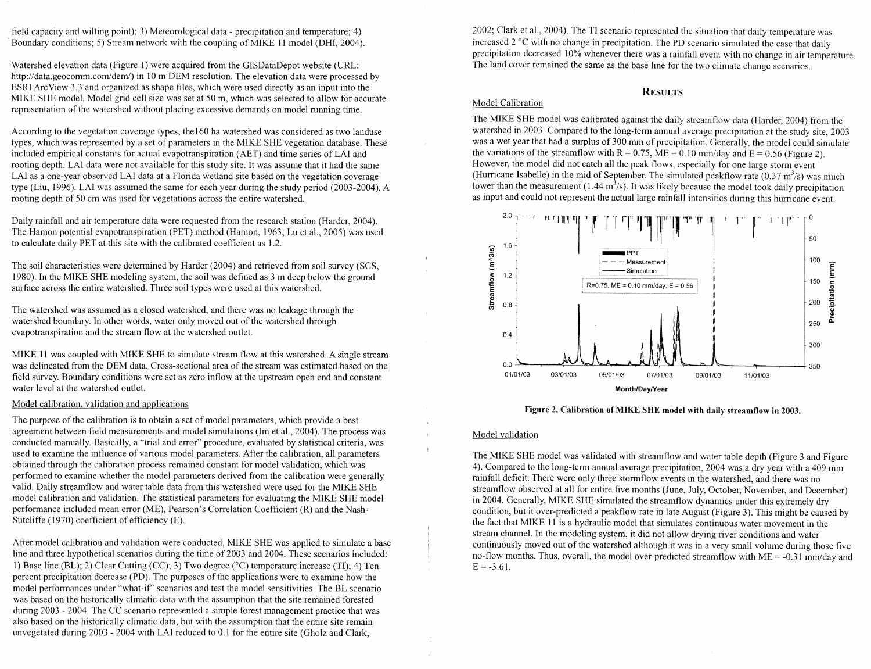field capacity and wilting point); 3) Meteorological data - precipitation and temperature; 4) Boundary conditions; *5)* Stream network with the coupling of MIKE 11 model (DHI, 2004).

Watershed elevation data (Figure 1) were acquired from the GISDataDepot website (URL: http://data.geocomm.com/dem/) in 10 m DEM resolution. The elevation data were processed by ESRI ArcView 3.3 and organized as shape files, which were used directly as an input into the MIKE SHE model. Model grid cell size was set at 50 m, which was selected to allow for accurate representation of the watershed without placing excessive demands on model running time.

According to the vegetation coverage types, the160 ha watershed was considered as two landuse types, which was represented by a set of parameters in the MIKE SHE vegetation database. These included empirical constants for actual evapotranspiration (AET) and time series of LA1 and rooting depth. LA1 data were not available for this study site. It was assume that it had the same LA1 as a one-year observed LA1 data at a Florida wetland site based on the vegetation coverage type (Liu, 1996). LA1 was assumed the same for each year during the study period (2003-2004). A rooting depth of 50 cm was used for vegetations across the entire watershed.

Daily rainfall and air temperature data were requested from the research station (Harder, 2004). The Hamon potential evapotranspiration (PET) method (Hamon, 1963; Lu et al., 2005) was used to calculate daily PET at this site with the calibrated coefficient as 1.2.

The soil characteristics were determined by Harder (2004) and retrieved from soil survey (SCS, 1980). In the MIE SHE modeling system, the soil was defined as 3 m deep below the ground surface across the entire watershed. Three soil types were used at this watershed.

The watershed was assumed as a closed watershed, and there was no leakage through the watershed boundary. In other words, water only moved out of the watershed through evapotranspiration and the stream flow at the watershed outlet.

MIKE 11 was coupled with MIKE SHE to simulate stream flow at this watershed. A single stream was delineated from the DEM data. Cross-sectional area of the stream was estimated based on the field survey. Boundary conditions were set as zero inflow at the upstream open end and constant water level at the watershed outlet.

#### Model calibration, validation and applications

The purpose of the calibration is to obtain a set of model parameters, which provide a best agreement between field measurements and model simulations (Im et al., 2004). The process was conducted manually. Basically, a "trial and error" procedure, evaluated by statistical criteria, was used to examine the influence of various model parameters. After the calibration, all parameters obtained through the calibration process remained constant for model validation, which was performed to examine whether the model parameters derived from the calibration were generally valid. Daily streamflow and water table data from this watershed were used for the MIKE SHE model calibration and validation. The statistical parameters for evaluating the MIKE SHE model performance included mean error (ME), Pearson's Correlation Coefficient (R) and the Nash-Sutcliffe (1970) coefficient of efficiency (E).

After model calibration and validation were conducted, MIKE SHE was applied to simulate a base line and three hypothetical scenarios during the time of 2003 and 2004. These scenarios included: 1) Base line (BL); 2) Clear Cutting (CC); 3) Two degree ( $\degree$ C) temperature increase (TI); 4) Ten percent precipitation decrease (PD). The purposes of the applications were to examine how the model performances under "what-if" scenarios and test the model sensitivities. The BL scenario was based on the historically climatic data with the assumption that the site remained forested during  $2003 - 2004$ . The CC scenario represented a simple forest management practice that was also based on the historically climatic data, but with the assumption that the entire site remain unvegetated during 2003 - 2004 with LA1 reduced to 0.1 for the entire site (Gholz and Clark,

2002; Clark et al., 2004). The TI scenario represented the situation that daily temperature was increased  $2^{\circ}$ C with no change in precipitation. The PD scenario simulated the case that daily precipitation decreased 10% whenever there was a rainfall event with no change in air temperature. The land cover remained the same as the base line for the two climate change scenarios.

# **REsrrcrs**

#### Model Calibration

The MIKE SHE model was calibrated against the daily streamflow data (Harder, 2004) from the watershed in 2003. Compared to the long-term annual average precipitation at the study site, 2003 was a wet year that had a surplus of 300 mm of precipitation. Generally, the model could simulate the variations of the streamflow with  $R = 0.75$ ,  $ME = 0.10$  mm/day and  $E = 0.56$  (Figure 2). However, the model did not catch all the peak flows, especially for one large storm event (Hurricane Isabelle) in the mid of September. The simulated peakflow rate  $(0.37 \text{ m}^3/\text{s})$  was much lower than the measurement  $(1.44 \text{ m}^3/\text{s})$ . It was likely because the model took daily precipitation as input and could not represent the actual large rainfall intensities during this hurricane event.



**Figure 2. Calibration of MIKE SHE model with daily streamflow in 2003.** 

### Model validation

The MIKE SHE model was validated with streamflow and water table depth (Figure 3 and Figure 4). Compared to the long-term annual average precipitation, 2004 was a dry year with a 409 mm rainfall deficit. There were only three stormflow events in the watershed, and there was no streamflow observed at all for entire five months (June, July, October, November, and December) in 2004. Generally, MIKE SHE simulated the streamflow dynamics under this extremely dry condition, but it over-predicted a peakflow rate in late August (Figure 3). This might be caused by the fact that MIKE 11 is a hydraulic model that simulates continuous water movement in the stream channel. In the modeling system, it did not allow drying river conditions and water continuously moved out of the watershed although it was in a very small volume during those five no-flow months. Thus, overall, the model over-predicted streamflow with  $ME = -0.31$  mm/day and  $E = -3.61$ .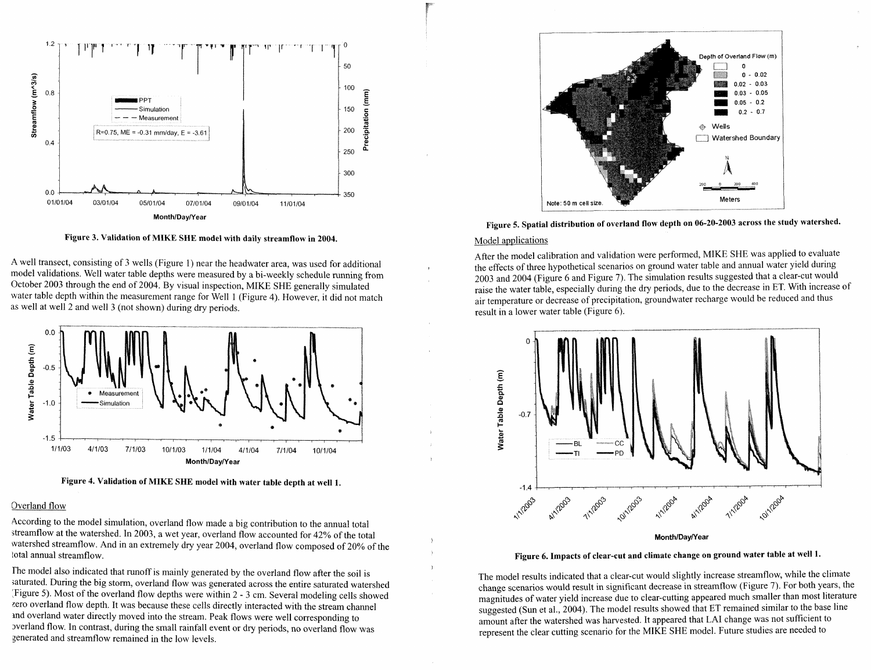

**Figure 3. Validation of MIKE SHE model with daily streamflow in 2004.** 

A well transect, consisting of 3 wells (Figure 1) near the headwater area, was used for additional model validations. Well water table depths were measured by a bi-weekly schedule running from October 2003 through the end of 2004. By visual inspection, MIKE SHE generally simulated water table depth within the measurement range for Well 1 (Figure 4). However, it did not match as well at well 2 and well 3 (not shown) during dry periods.





#### Overland flow

According to the model simulation, overland flow made a big contribution to the annual total streamflow at the watershed. In 2003, a wet year, overland flow accounted for 42% of the total watershed streamflow. And in an extremely dry year 2004, overland flow composed of 20% of the **<sup>b</sup>**total annual streamflow.

) The model also indicated that runoff is mainly generated by the overland flow after the soil is saturated. During the big storm, overland flow was generated across the entire saturated watershed :Figure 5). Most of the overland flow depths were within 2 - 3 cm. Several modeling cells showed zero overland flow depth. It was because these cells directly interacted with the stream channel md overland water directly moved into the stream. Peak flows were well corresponding to ~verland flow. In contrast, during the small rainfall event or dry periods, no overland flow was generated and streamflow remained in the low levels.





#### Model applications

After the model calibration and validation were performed, MIKE SHE was applied to evaluate the effects of three hypothetical scenarios on ground water table and annual water yield during 2003 and 2004 (Figure 6 and Figure 7). The simulation results suggested that a clear-cut would raise the water table, especially during the dry periods, due to the decrease in ET. With increase of air temperature or decrease of precipitation, groundwater recharge would be reduced and thus result in a lower water table (Figure 6).



Month/Day/Year

# **Figure 6. Impacts of clear-cut and climate change on ground water table at well 1.**

The model results indicated that a clear-cut would slightly increase streamflow, while the climate change scenarios would result in significant decrease in streamflow (Figure 7). For both years, the magnitudes of water yield increase due to clear-cutting appeared much smaller than most literature suggested (Sun et al., 2004). The model results showed that ET remained similar to the base line amount after the watershed was harvested. It appeared that **LA1** change was not suficient to represent the clear cutting scenario for the MIKE SHE model. Future studies are needed to